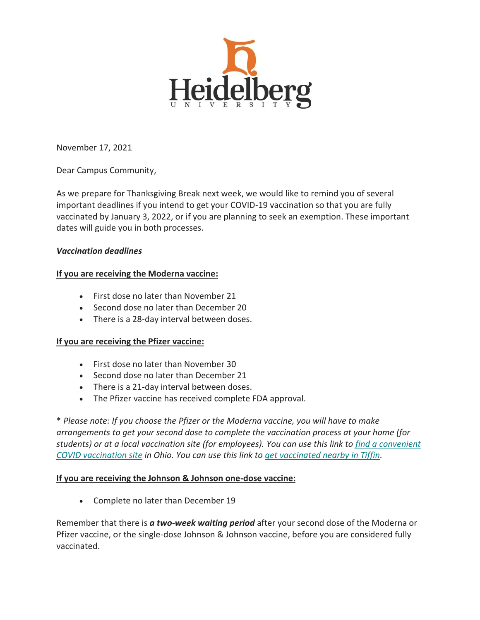

November 17, 2021

Dear Campus Community,

As we prepare for Thanksgiving Break next week, we would like to remind you of several important deadlines if you intend to get your COVID-19 vaccination so that you are fully vaccinated by January 3, 2022, or if you are planning to seek an exemption. These important dates will guide you in both processes.

## *Vaccination deadlines*

# **If you are receiving the Moderna vaccine:**

- First dose no later than November 21
- Second dose no later than December 20
- There is a 28-day interval between doses.

## **If you are receiving the Pfizer vaccine:**

- First dose no later than November 30
- Second dose no later than December 21
- There is a 21-day interval between doses.
- The Pfizer vaccine has received complete FDA approval.

\* *Please note: If you choose the Pfizer or the Moderna vaccine, you will have to make arrangements to get your second dose to complete the vaccination process at your home (for students) or at a local vaccination site (for employees). You can use this link to [find a convenient](https://heidelberg.us1.list-manage.com/track/click?u=aedcf85e9275dba4a51d423f2&id=83cdb987de&e=5208781db9)  [COVID vaccination site](https://heidelberg.us1.list-manage.com/track/click?u=aedcf85e9275dba4a51d423f2&id=83cdb987de&e=5208781db9) in Ohio. You can use this link to [get vaccinated nearby in Tiffin.](https://heidelberg.us1.list-manage.com/track/click?u=aedcf85e9275dba4a51d423f2&id=7b51aac3fe&e=5208781db9)*

## **If you are receiving the Johnson & Johnson one-dose vaccine:**

• Complete no later than December 19

Remember that there is *a two-week waiting period* after your second dose of the Moderna or Pfizer vaccine, or the single-dose Johnson & Johnson vaccine, before you are considered fully vaccinated.